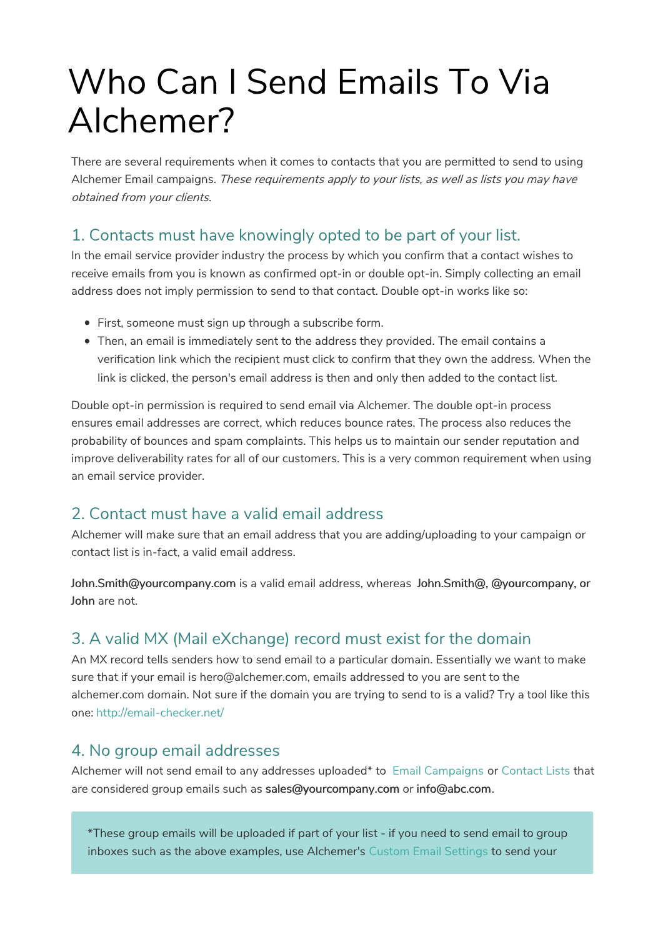# Who Can I Send Emails To Via Alchemer?

There are several requirements when it comes to contacts that you are permitted to send to using Alchemer Email campaigns. These requirements apply to your lists, as well as lists you may have obtained from your clients.

## 1. Contacts must have knowingly opted to be part of your list.

In the email service provider industry the process by which you confirm that a contact wishes to receive emails from you is known as confirmed opt-in or double opt-in. Simply collecting an email address does not imply permission to send to that contact. Double opt-in works like so:

- First, someone must sign up through a subscribe form.
- Then, an email is immediately sent to the address they provided. The email contains a verification link which the recipient must click to confirm that they own the address. When the link is clicked, the person's email address is then and only then added to the contact list.

Double opt-in permission is required to send email via Alchemer. The double opt-in process ensures email addresses are correct, which reduces bounce rates. The process also reduces the probability of bounces and spam complaints. This helps us to maintain our sender reputation and improve deliverability rates for all of our customers. This is a very common requirement when using an email service provider.

# 2. Contact must have a valid email address

Alchemer will make sure that an email address that you are adding/uploading to your campaign or contact list is in-fact, a valid email address.

John.Smith@yourcompany.com is a valid email address, whereas John.Smith@, @yourcompany, or John are not.

# 3. A valid MX (Mail eXchange) record must exist for the domain

An MX record tells senders how to send email to a particular domain. Essentially we want to make sure that if your email is hero@alchemer.com, emails addressed to you are sent to the alchemer.com domain. Not sure if the domain you are trying to send to is a valid? Try a tool like this one: http://email-checker.net/

### 4. No group email addresses

Alchemer will not send email to any addresses uploaded\* to Email Campaigns or Contact Lists that are considered group emails such as sales@yourcompany.com or info@abc.com.

\*These group emails will be uploaded if part of your list - if you need to send email to group inboxes such as the above examples, use Alchemer's Custom Email Settings to send your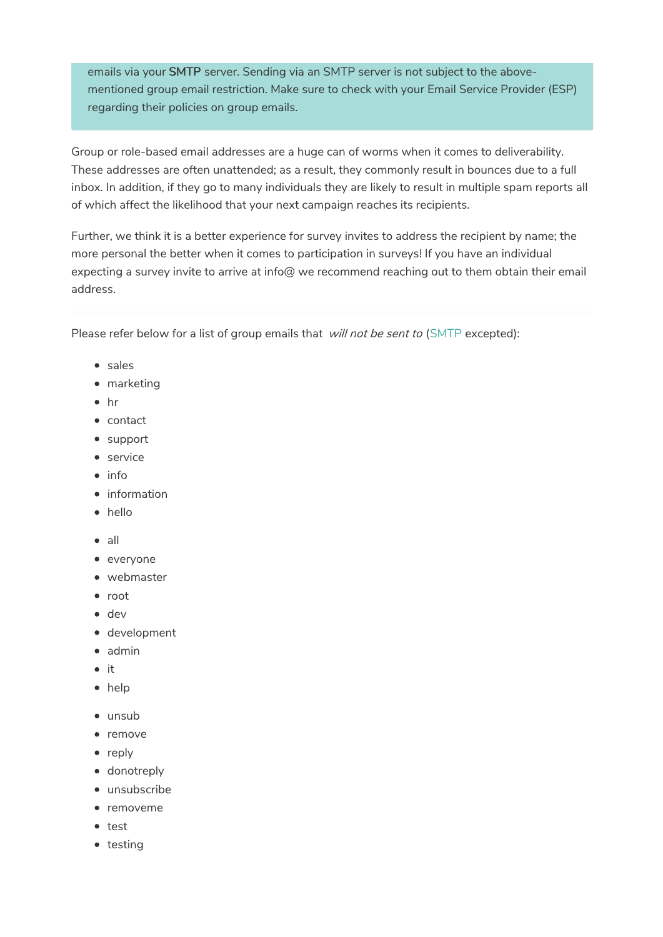emails via your SMTP server. Sending via an SMTP server is not subject to the abovementioned group email restriction. Make sure to check with your Email Service Provider (ESP) regarding their policies on group emails.

Group or role-based email addresses are a huge can of worms when it comes to deliverability. These addresses are often unattended; as a result, they commonly result in bounces due to a full inbox. In addition, if they go to many individuals they are likely to result in multiple spam reports all of which affect the likelihood that your next campaign reaches its recipients.

Further, we think it is a better experience for survey invites to address the recipient by name; the more personal the better when it comes to participation in surveys! If you have an individual expecting a survey invite to arrive at info@ we recommend reaching out to them obtain their email address.

Please refer below for a list of group emails that will not be sent to (SMTP excepted):

- sales
- marketing
- hr
- contact
- support
- service
- $\bullet$  info
- information
- hello
- $\bullet$  all
- everyone
- webmaster
- root
- dev
- development
- $\bullet$  admin
- $\bullet$  it
- help
- unsub
- remove
- reply
- donotreply
- unsubscribe
- removeme
- test
- testing